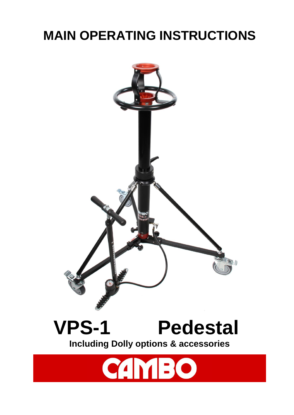## **MAIN OPERATING INSTRUCTIONS**



# **VPS-1 Pedestal**

**Including Dolly options & accessories**

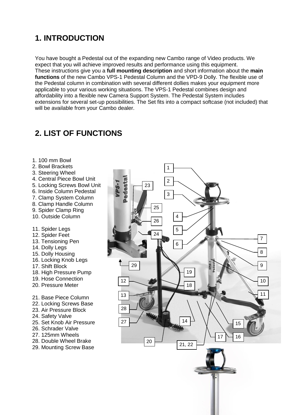## **1. INTRODUCTION**

You have bought a Pedestal out of the expanding new Cambo range of Video products. We expect that you will achieve improved results and performance using this equipment. These instructions give you a **full mounting description** and short information about the **main functions** of the new Cambo VPS-1 Pedestal Column and the VPD-9 Dolly. The flexible use of the Pedestal column in combination with several different dollies makes your equipment more applicable to your various working situations. The VPS-1 Pedestal combines design and affordability into a flexible new Camera Support System. The Pedestal System includes extensions for several set-up possibilities. The Set fits into a compact softcase (not included) that will be available from your Cambo dealer.

## **2. LIST OF FUNCTIONS**

#### 1. 100 mm Bowl

- 2. Bowl Brackets
- 3. Steering Wheel
- 4. Central Piece Bowl Unit
- 5. Locking Screws Bowl Unit
- 6. Inside Column Pedestal
- 7. Clamp System Column
- 8. Clamp Handle Column
- 9. Spider Clamp Ring
- 10. Outside Column
- 11. Spider Legs
- 12. Spider Feet
- 13. Tensioning Pen
- 14. Dolly Legs
- 15. Dolly Housing
- 16. Locking Knob Legs
- 17. Shift Block
- 18. High Pressure Pump
- 19. Hose Connection
- 20. Pressure Meter
- 21. Base Piece Column
- 22. Locking Screws Base
- 23. Air Pressure Block
- 24. Safety Valve
- 25. Set Knob Air Pressure
- 26. Schrader Valve
- 27. 125mm Wheels
- 28. Double Wheel Brake
- 29. Mounting Screw Base

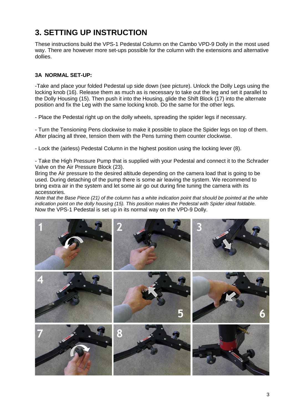## **3. SETTING UP INSTRUCTION**

These instructions build the VPS-1 Pedestal Column on the Cambo VPD-9 Dolly in the most used way. There are however more set-ups possible for the column with the extensions and alternative dollies.

#### **3A NORMAL SET-UP:**

-Take and place your folded Pedestal up side down (see picture). Unlock the Dolly Legs using the locking knob (16). Release them as much as is necessary to take out the leg and set it parallel to the Dolly Housing (15). Then push it into the Housing, glide the Shift Block (17) into the alternate position and fix the Leg with the same locking knob. Do the same for the other legs.

- Place the Pedestal right up on the dolly wheels, spreading the spider legs if necessary.

- Turn the Tensioning Pens clockwise to make it possible to place the Spider legs on top of them. After placing all three, tension them with the Pens turning them counter clockwise.

- Lock the (airless) Pedestal Column in the highest position using the locking lever (8).

- Take the High Pressure Pump that is supplied with your Pedestal and connect it to the Schrader Valve on the Air Pressure Block (23).

Bring the Air pressure to the desired altitude depending on the camera load that is going to be used. During detaching of the pump there is some air leaving the system. We recommend to bring extra air in the system and let some air go out during fine tuning the camera with its accessories.

*Note that the Base Piece (21) of the column has a white indication point that should be pointed at the white indication point on the dolly housing (15). This position makes the Pedestal with Spider ideal foldable.* Now the VPS-1 Pedestal is set up in its normal way on the VPD-9 Dolly.

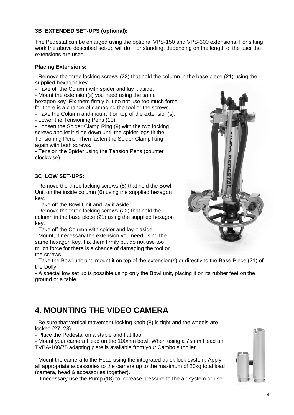#### **3B EXTENDED SET-UPS (optional):**

The Pedestal can be enlarged using the optional VPS-150 and VPS-300 extensions. For sitting work the above described set-up will do. For standing, depending on the length of the user the extensions are used.

#### **Placing Extensions:**

- Remove the three locking screws (22) that hold the column in the base piece (21) using the supplied hexagon key.

- Take off the Column with spider and lay it aside.

- Mount the extension(s) you need using the same hexagon key. Fix them firmly but do not use too much force for there is a chance of damaging the tool or the screws.

- Take the Column and mount it on top of the extension(s).

- Lower the Tensioning Pens (13)

- Loosen the Spider Clamp Ring (9) with the two locking screws and let it slide down until the spider legs fit the Tensioning Pens. Then fasten the Spider Clamp Ring again with both screws.

- Tension the Spider using the Tension Pens (counter clockwise).

#### **3C LOW SET-UPS:**

- Remove the three locking screws (5) that hold the Bowl Unit on the inside column (6) using the supplied hexagon key.

- Take off the Bowl Unit and lay it aside.

- Remove the three locking screws (22) that hold the column in the base piece (21) using the supplied hexagon key.

- Take off the Column with spider and lay it aside.

- Mount, if necessary the extension you need using the same hexagon key. Fix them firmly but do not use too much force for there is a chance of damaging the tool or the screws.

- Take the Bowl unit and mount it on top of the extension(s) or directly to the Base Piece (21) of the Dolly.

- A special low set up is possible using only the Bowl unit, placing it on its rubber feet on the ground or a table.

## **4. MOUNTING THE VIDEO CAMERA**

- Be sure that vertical movement-locking knob (8) is tight and the wheels are locked (27, 28).

- Place the Pedestal on a stable and flat floor.

- Mount your camera Head on the 100mm bowl. When using a 75mm Head an TVBA-100/75 adapting plate is available from your Cambo supplier.

- Mount the camera to the Head using the integrated quick lock system. Apply all appropriate accessories to the camera up to the maximum of 20kg total load (camera, head & accessories together).

- If necessary use the Pump (18) to increase pressure to the air system or use



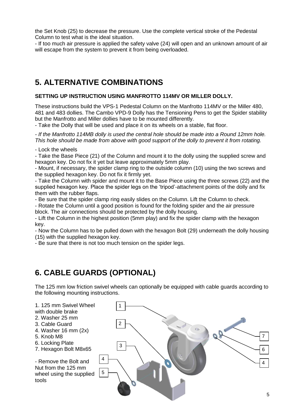the Set Knob (25) to decrease the pressure. Use the complete vertical stroke of the Pedestal Column to test what is the ideal situation.

- If too much air pressure is applied the safety valve (24) will open and an unknown amount of air will escape from the system to prevent it from being overloaded.

## **5. ALTERNATIVE COMBINATIONS**

#### **SETTING UP INSTRUCTION USING MANFROTTO 114MV OR MILLER DOLLY.**

These instructions build the VPS-1 Pedestal Column on the Manfrotto 114MV or the Miller 480, 481 and 483 dollies. The Cambo VPD-9 Dolly has the Tensioning Pens to get the Spider stability but the Manfrotto and Miller dollies have to be mounted differently.

- Take the Dolly that will be used and place it on its wheels on a stable, flat floor.

*- If the Manfrotto 114MB dolly is used the central hole should be made into a Round 12mm hole. This hole should be made from above with good support of the dolly to prevent it from rotating.*

- Lock the wheels

- Take the Base Piece (21) of the Column and mount it to the dolly using the supplied screw and hexagon key. Do not fix it yet but leave approximately 5mm play.

- Mount, if necessary, the spider clamp ring to the outside column (10) using the two screws and the supplied hexagon key. Do not fix it firmly yet.

- Take the Column with spider and mount it to the Base Piece using the three screws (22) and the supplied hexagon key. Place the spider legs on the 'tripod'-attachment points of the dolly and fix them with the rubber flaps.

- Be sure that the spider clamp ring easily slides on the Column. Lift the Column to check.

- Rotate the Column until a good position is found for the folding spider and the air pressure block. The air connections should be protected by the dolly housing.

- Lift the Column in the highest position (5mm play) and fix the spider clamp with the hexagon key.

- Now the Column has to be pulled down with the hexagon Bolt (29) underneath the dolly housing (15) with the supplied hexagon key.

- Be sure that there is not too much tension on the spider legs.

## **6. CABLE GUARDS (OPTIONAL)**

The 125 mm low friction swivel wheels can optionally be equipped with cable guards according to the following mounting instructions.

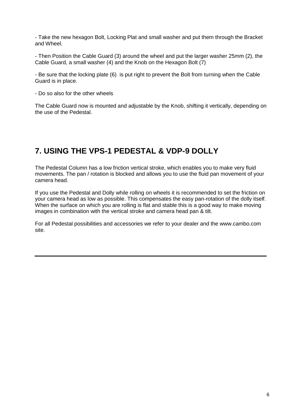- Take the new hexagon Bolt, Locking Plat and small washer and put them through the Bracket and Wheel.

- Then Position the Cable Guard (3) around the wheel and put the larger washer 25mm (2), the Cable Guard, a small washer (4) and the Knob on the Hexagon Bolt (7)

- Be sure that the locking plate (6) is put right to prevent the Bolt from turning when the Cable Guard is in place.

- Do so also for the other wheels

The Cable Guard now is mounted and adjustable by the Knob, shifting it vertically, depending on the use of the Pedestal.

## **7. USING THE VPS-1 PEDESTAL & VDP-9 DOLLY**

The Pedestal Column has a low friction vertical stroke, which enables you to make very fluid movements. The pan / rotation is blocked and allows you to use the fluid pan movement of your camera head.

If you use the Pedestal and Dolly while rolling on wheels it is recommended to set the friction on your camera head as low as possible. This compensates the easy pan-rotation of the dolly itself. When the surface on which you are rolling is flat and stable this is a good way to make moving images in combination with the vertical stroke and camera head pan & tilt.

For all Pedestal possibilities and accessories we refer to your dealer and the www.cambo.com site.